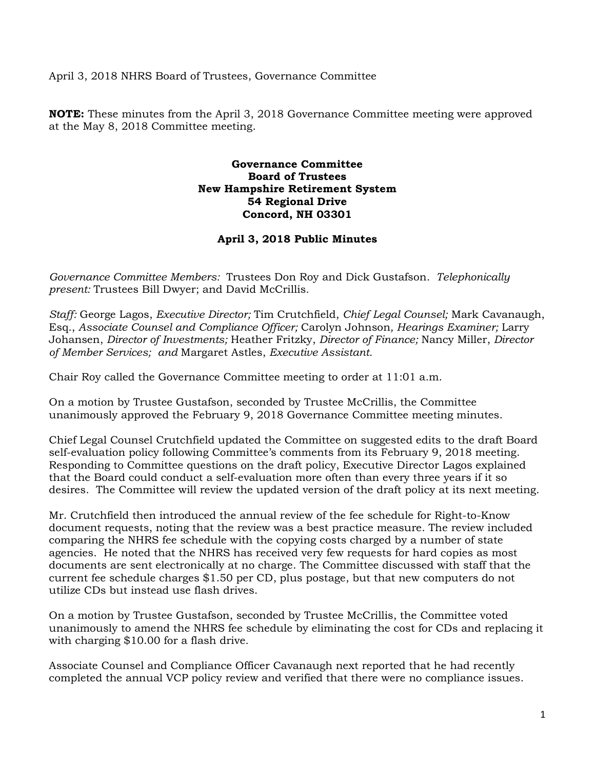April 3, 2018 NHRS Board of Trustees, Governance Committee

**NOTE:** These minutes from the April 3, 2018 Governance Committee meeting were approved at the May 8, 2018 Committee meeting.

## **Governance Committee Board of Trustees New Hampshire Retirement System 54 Regional Drive Concord, NH 03301**

## **April 3, 2018 Public Minutes**

*Governance Committee Members:* Trustees Don Roy and Dick Gustafson. *Telephonically present:* Trustees Bill Dwyer; and David McCrillis*.* 

*Staff:* George Lagos, *Executive Director;* Tim Crutchfield, *Chief Legal Counsel;* Mark Cavanaugh, Esq., *Associate Counsel and Compliance Officer;* Carolyn Johnson*, Hearings Examiner;* Larry Johansen, *Director of Investments;* Heather Fritzky, *Director of Finance;* Nancy Miller, *Director of Member Services; and* Margaret Astles, *Executive Assistant.* 

Chair Roy called the Governance Committee meeting to order at 11:01 a.m.

On a motion by Trustee Gustafson, seconded by Trustee McCrillis, the Committee unanimously approved the February 9, 2018 Governance Committee meeting minutes.

Chief Legal Counsel Crutchfield updated the Committee on suggested edits to the draft Board self-evaluation policy following Committee's comments from its February 9, 2018 meeting. Responding to Committee questions on the draft policy, Executive Director Lagos explained that the Board could conduct a self-evaluation more often than every three years if it so desires. The Committee will review the updated version of the draft policy at its next meeting.

Mr. Crutchfield then introduced the annual review of the fee schedule for Right-to-Know document requests, noting that the review was a best practice measure. The review included comparing the NHRS fee schedule with the copying costs charged by a number of state agencies. He noted that the NHRS has received very few requests for hard copies as most documents are sent electronically at no charge. The Committee discussed with staff that the current fee schedule charges \$1.50 per CD, plus postage, but that new computers do not utilize CDs but instead use flash drives.

On a motion by Trustee Gustafson, seconded by Trustee McCrillis, the Committee voted unanimously to amend the NHRS fee schedule by eliminating the cost for CDs and replacing it with charging \$10.00 for a flash drive*.*

Associate Counsel and Compliance Officer Cavanaugh next reported that he had recently completed the annual VCP policy review and verified that there were no compliance issues.